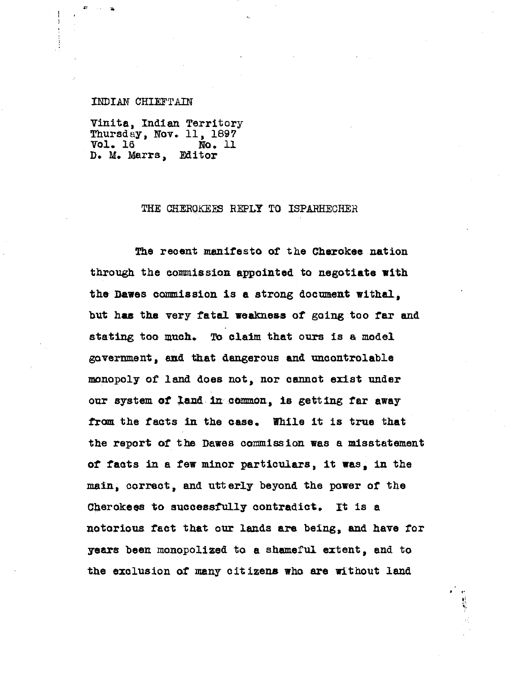#### INDIAN CHIEFTAIN

S a

Vinita, Indian Territory Thursday, Nov. 11, 1897 Vol. 16 loo. 11 D. M. Marrs,

### THE CHEROKEES REPLY TO ISPARHECHER

The recent manifesto of the Cherokee nation through the commission appointed to negotiate with the Dawes commission is a strong document withal, but has the very fatal weakness of going too far and stating too much. To claim that ours is a model government, end that dangerous and uncontrolable monopoly of land does not, nor cannot exist under our system of land in common, is getting far away from the facts in the case. While it is true that the report of the Dawes commission was a misstatement of facts in a few minor particulars, it was, in the main, correct, and utterly beyond the power of the Cherokees to successfully contradict. It is a notorious fact that our lands are being, and have for years been monopolized to a shameful extent, and to the exclusion of many citizens who are without land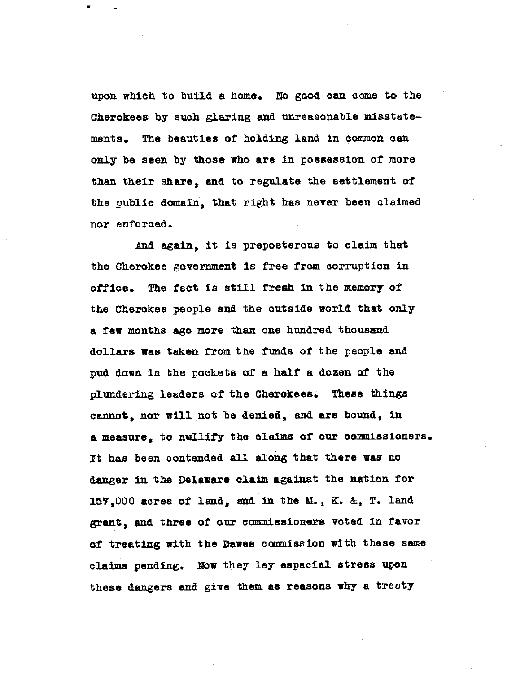upon which to build a home. No good can come to the Cherokees by such glaring and unreasonable misstatements. The beauties of holding land in common can only be seen by those who are in possession of more than their share, and to regulate the settlement of the public domain, that right has never been claimed nor enforced.

And again, it is preposterous to claim that the Cherokee government is free from corruption in office. The fact is still fresh in the memory of the Cherokee people and the outside world that only a few months ago more than one hundred thousand dollars was taken from the funds of the people and pud down in the pockets of a half a dozen of the plundering leaders of the Cherokees. These things cannot, nor will not be denied, and are bound, in a measure, to nullify the claims of our commissioners. it has been contended all along that there was no danger in the Delaware claim against the nation for 157,000 acres of land, and in the M., K. &, T. land grant, and three of our commissioners voted in favor of treating with the Dawes commission with these same claims pending. Now they lay especial stress upon these dangers and give them as reasons why a treaty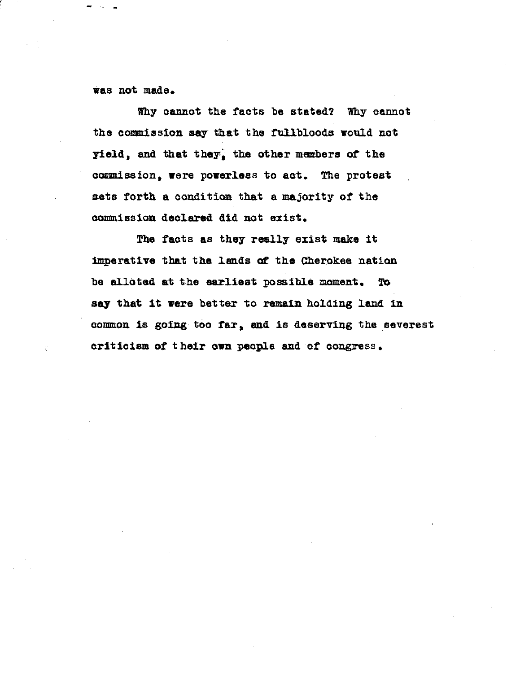Ras not made.

Why cannot the facts be stated? Why cannot the commission say that the fnilbloods would not yield, and that they, the other members of the commission, were powerless to act. The protest sets forth a condition that a majority of the commission declared did not exist.

The facts as they really exist make it imperative that the lands at the Cherokee nation be alloted at the earliest possible moment. To say that it were better to remain holding land in common is going too far, end is deserving the severest criticism of t heir own people and of congress,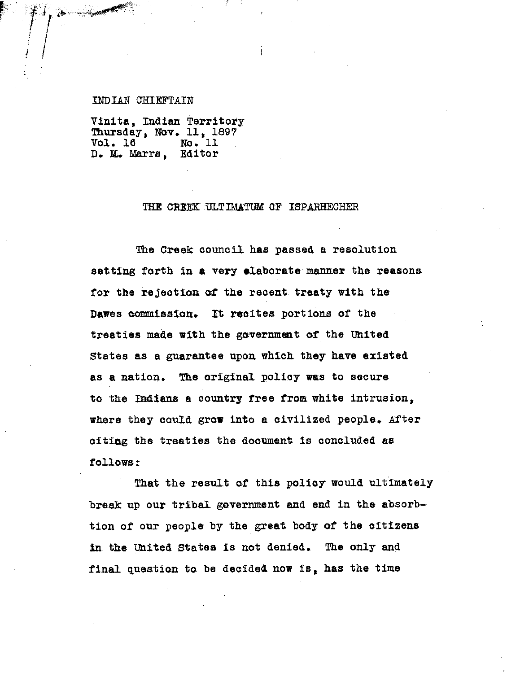### INDIAN CHIEFTAIN

Vinita, Indian Territory Thursday, **Nov,** 11, 1897 Vol. 16 No. 11<br>D. M. Marrs. Editor D. M. Marrs,

## THE CREEK ULTIMATUM OF ISPARHECHER

The Creek council has passed a resolution setting forth in a very elaborate manner the reasons for the rejection of the recent treaty with the Dawes commission. It recites portions of the treaties made with the government of the United States as a guarantee upon which they have existed as a nation. The original policy was to secure to the Indians a country free from white intrusion, where they could grow into a civilized people. After citing the treaties the document is concluded as follows:

That the result of this policy would ultimately break up our tribal government and end in the absorbtion of our people by the great body of the citizens in. the United States is not denied. The only and final question to be decided now is, has the time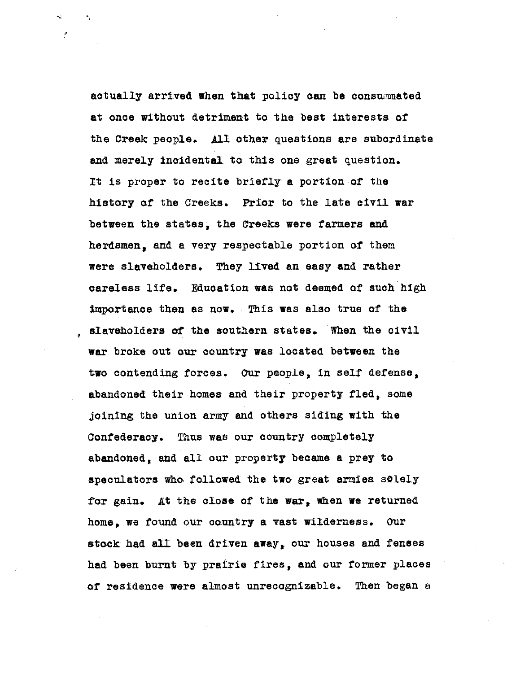actually arrived when that policy can be conswnmated at once without detriment to the best interests of the Creek people. All other questions are subordinate and merely incidental to this one great question. It is proper to recite briefly a portion of the history of the Creeks. Prior to the late civil war between the states, the Creeks were farmers and herdsmen, and a very respectable portion of them were slaveholders. They lived an easy and rather careless life. Education was not deemed of such high Importance then as now. This was also true of the slaveholders of the southern states. When the civil war broke out our country was located between the two contending forces. Our people, in self defense, abandoned their homes and their property fled, some joining the union army and others siding with the Confederacy. Thus was our country completely abandoned, and all our property became a prey to speculators who followed the two great armies solely for gain. At the close of the war, when we returned home, we found our country a vast wilderness. Our stock had all been driven away, our houses and fenees had been burnt by prairie fires, and our former places of residence were almost unrecognizable. Then began a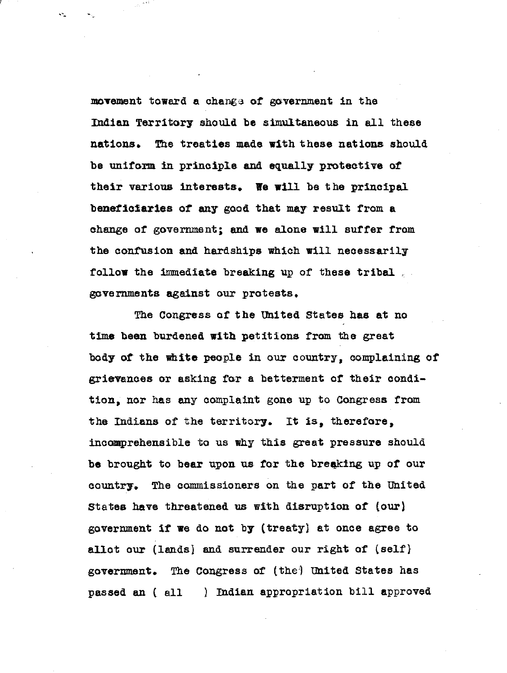movement toward a change of government in the Indian Territory should be simultaneous in all these nations. The treaties made with these nations should be uniform in principle and equally protective of their various interests. We will be the principal **beneficiaries** of any good that may result from a change of government; and we alone will suffer from the confusion and hardships which will necessarily follow the immediate breaking up of these tribal. governments against our protests.

The Congress of the United States has at no time been burdened with petitions from the great body of the white people in our country, complaining of grievances or asking for a betterment of their condition, nor has any complaint gone up to Congress from the Indiana of the territory. It **is,** therefore, incomprehensible to us why this great pressure should be brought to bear upon us for the breaking up of our country. The commissioners on the part of the United States have threatened us with disruption of (our) government if we do not by (treaty) at once agree to allot our (lands) and surrender our right of (self} government. The Congress of (the') Uhited States has passed an ( all ) Indian appropriation bill approved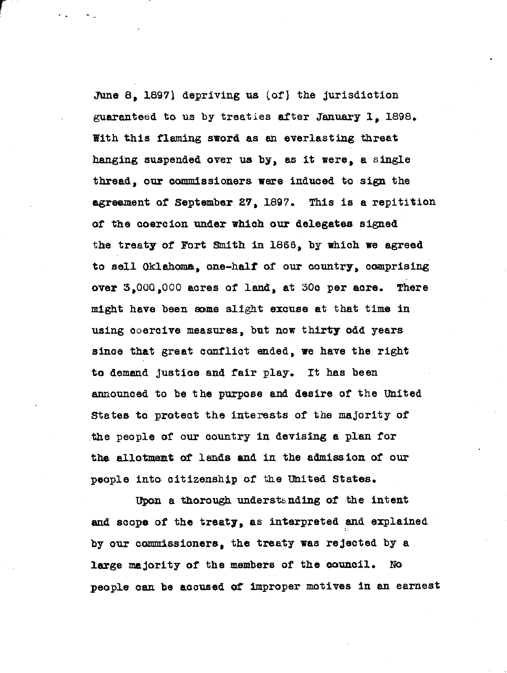June  $8$ , 1897) depriving us  $(\text{of})$  the jurisdiction guaranteed to us by treaties after January 1, 1896. With this fleming sword as an everlasting threat hanging suspended over us by, as it were, a single thread, our commissioners were induced to sign the agreement of September 27, 1897. This is a repitition of the coercion under which our delegates signed the treaty of Fort Smith in 1866, by which we agreed to sell Oklahoma, one-half of our country, comprising **over** 3,000,000 acres of land, at 30o per acre. There might have been some slight excuse at that time in using coercive measures, but now thirty odd years since that great conflict ended, we have the right to demand justice and fair play. It has been announced to be the purpose and desire of the United States to protect the interests of the majority of the people of our country in devising a plan for the allotment of lands and in the admission of our people into citizenship of the United States.

Upon a thorough understanding of the intent and scope of the treaty, as interpreted and explained by our commissioners, the treaty was rejected by a large majority of the members of the council. No people can be accused of improper motives in an earnest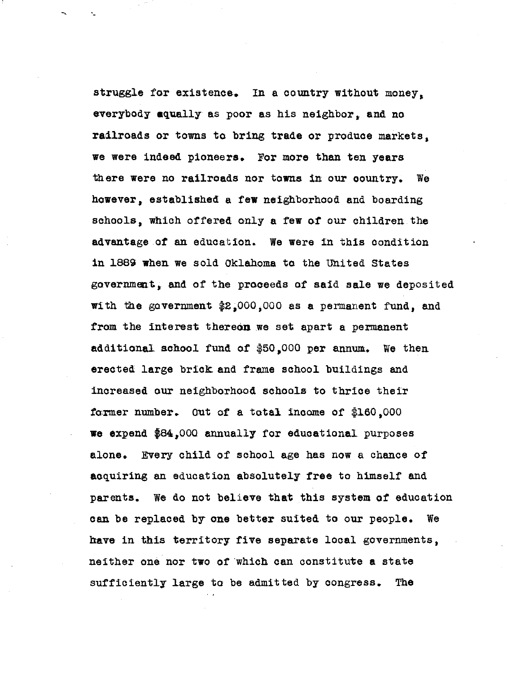struggle for existence. In a country without money, everybody aqually as poor as his neighbor, and no railroads or towns to bring trade or produce markets, we were indeed pioneers. For more than ten years there were no railroads nor towns in our country. We however, established a few neighborhood and boarding schools, which offered only a few of our children the advantage of an education. We were in this condition in 1889 when we sold Oklahoma to the United States government, and of the proceeds of said sale we deposited with the government \$2,000,000 as a permanent fund, and from the interest thereon we set apart a permanent additional school fund of \$5Q,000 per annum. We then erected large brick and frame school buildings and increased our neighborhood schools to thrice their former number. Out of a total income of  $$160,000$ we expend 84,000 annually for educational purposes alone. Every child of school age has now a chance of acquiring an education absolutely free to himself and parents. We do not believe that this system of education can be replaced by one better suited to our people. We have in this territory five separate local governments, neither one nor two of which can constitute a state sufficiently large to be admitted by congress. The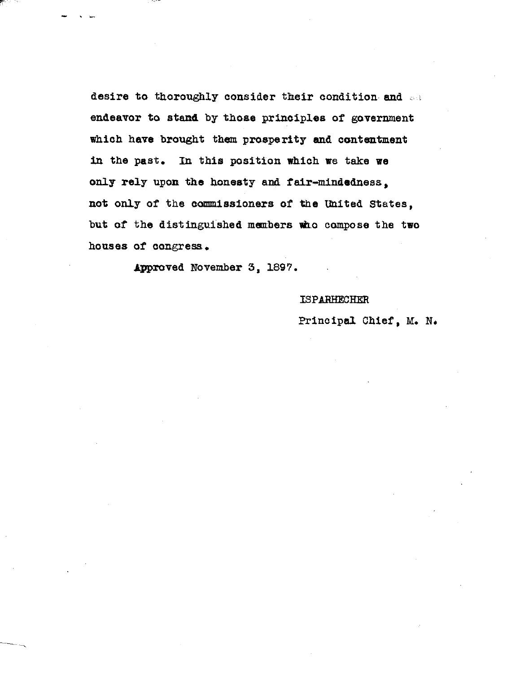desire to thoroughly consider their condition and  $\sim$ endeavor to **stand** by those principles of government which have brought them prosperity and contentment in the past. in this position which we take we only rely upon the honesty and fair—mindedness, not only of the commissioners of the United States, but of the distinguished members who compose the two houses of congress.

Approved November 3, 1897.

# ISPARHECHER

# Principal Chief, M. N.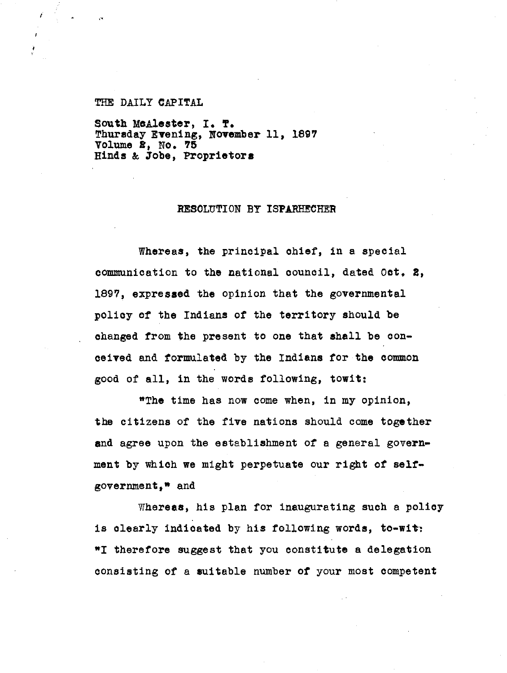### THE DAILY CAPITAL

f,

South McAlester, I. T. Thursday Evening, **November** 11, 1897 Volume 2, No. 75 Hinds & Jobe, Proprietors

### RESOLUTION BY ISPARHECHER

Whereas, the principal chief, in a special communication to the national council, dated Oct, 2, 1897, expressed the opinion that the governmental policy of the Indians of the territory should be changed from the present to one that shall be conceived and formulated by the Indians for the common good of all, in the words following, towit:

"The time has now come when, in my opinion, the citizens of the five nations should come together and agree upon the establishment of a general government by which we might perpetuate our right of selfgovernment," and

Whereas, his plan for inaugurating such a policy is clearly indicated by his following words, to-wit: \*I therefore suggest that you constitute a delegation consisting of a suitable number of your most competent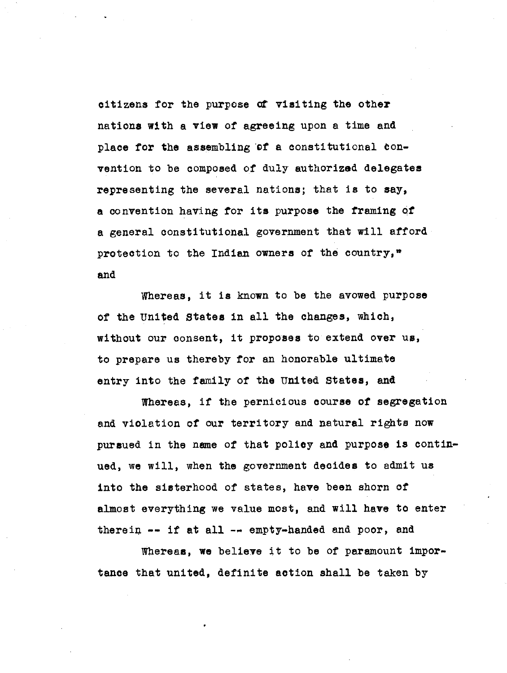citizens for the purpose of visiting the other nations with a view of agreeing upon a time and place for the assembling of a constitutional convention to be composed of duly authorized delegates representing the several nations; that is to say, a convention having for its purpose the framing of a general constitutional government that will afford protection to the Indian owners of the country,<sup>"</sup> and

Whereas, it is known to be the avowed purpose of the United States in all the changes, which, without our consent, it proposes to extend over us, to prepare us thereby for an honorable ultimate entry into the family of the United States, and

Whereas, if the pernicious course of segregation and violation of our territory and natural rights now pursued in the name of that policy and purpose is continued, we will, when the government decides to admit us into the sisterhood of states, have been shorn of almost everything we value most, and will have to enter therein -- if at all -- empty-handed and poor, and

Whereas, we believe it to be of paramount importance that united, definite action shall be taken by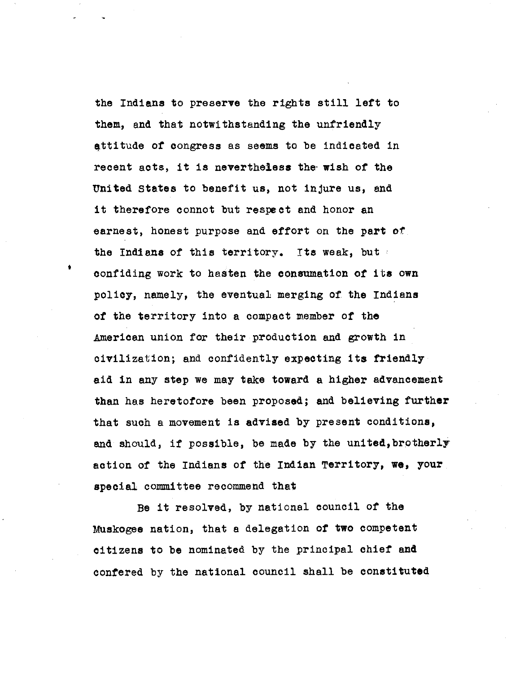the Indiana to preserve the rights still left to them, and that notwithstanding the unfriendly attitude of congress as seems to be indicated in recent acts, it is nevertheless the- wish of the United States to benefit us, not injure us, and it therefore connot but respect and honor an earnest, honest purpose and effort on the part of the Indians of this territory. Its weak, but confiding work to hasten the consumation of its own policy, namely, the eventual merging of the Indiana of the territory into a compact member of the American union for their production and growth in civilization; and confidently expecting its friendly aid in any step we may take toward a higher advancement than has heretofore been proposed; and believing further that such a movement is advised by present conditions, and should, if possible, be made by the united,brotherly action of the Indians of the Indian Territory, we, your special committee recommend that

Be it resolved, by national council of the Muskogee nation, that a delegation of two competent citizens to be nominated by the principal chief and confered by the national council shall be constituted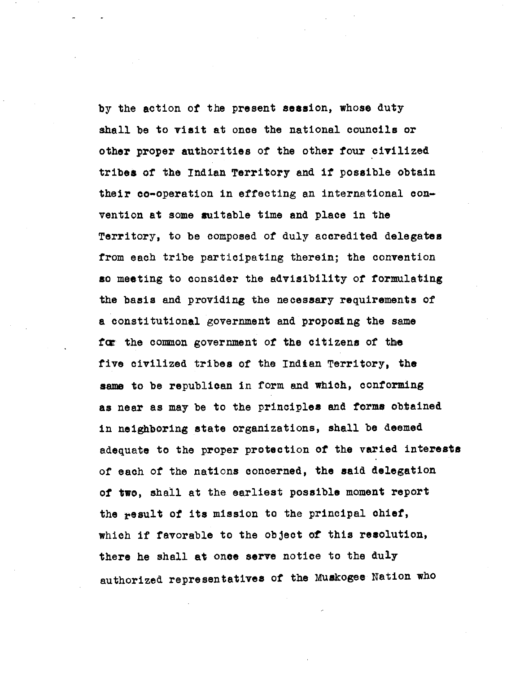by the action of the present session, whose duty shall be to visit at once the national councils or other proper authorities of the other four civilized tribes of the Indian Territory and if possible obtain their co-operation in effecting an international convention at some suitable time and place in the Territory, to be composed of duly accredited delegates from each tribe participating therein; the convention so meeting to consider the advisibility of formulating the basis and providing the necessary requirements of a constitutional government and proposing the same fox the common government of the citizens of the five civilized tribes of the Indian Territory, the same to be republican in form and which, conforming as near as may be to the principles and forms obtained in neighboring state organizations, shall be deemed adequate to the proper protection of the varied interests of each of the nations concerned, the said delegation of two, shall at the earliest possible moment report the result of its mission to the principal chief, which if favorable to the object of this resolution, there he shall at once serve notice to the duly authorized representatives of the Muskogee Nation who